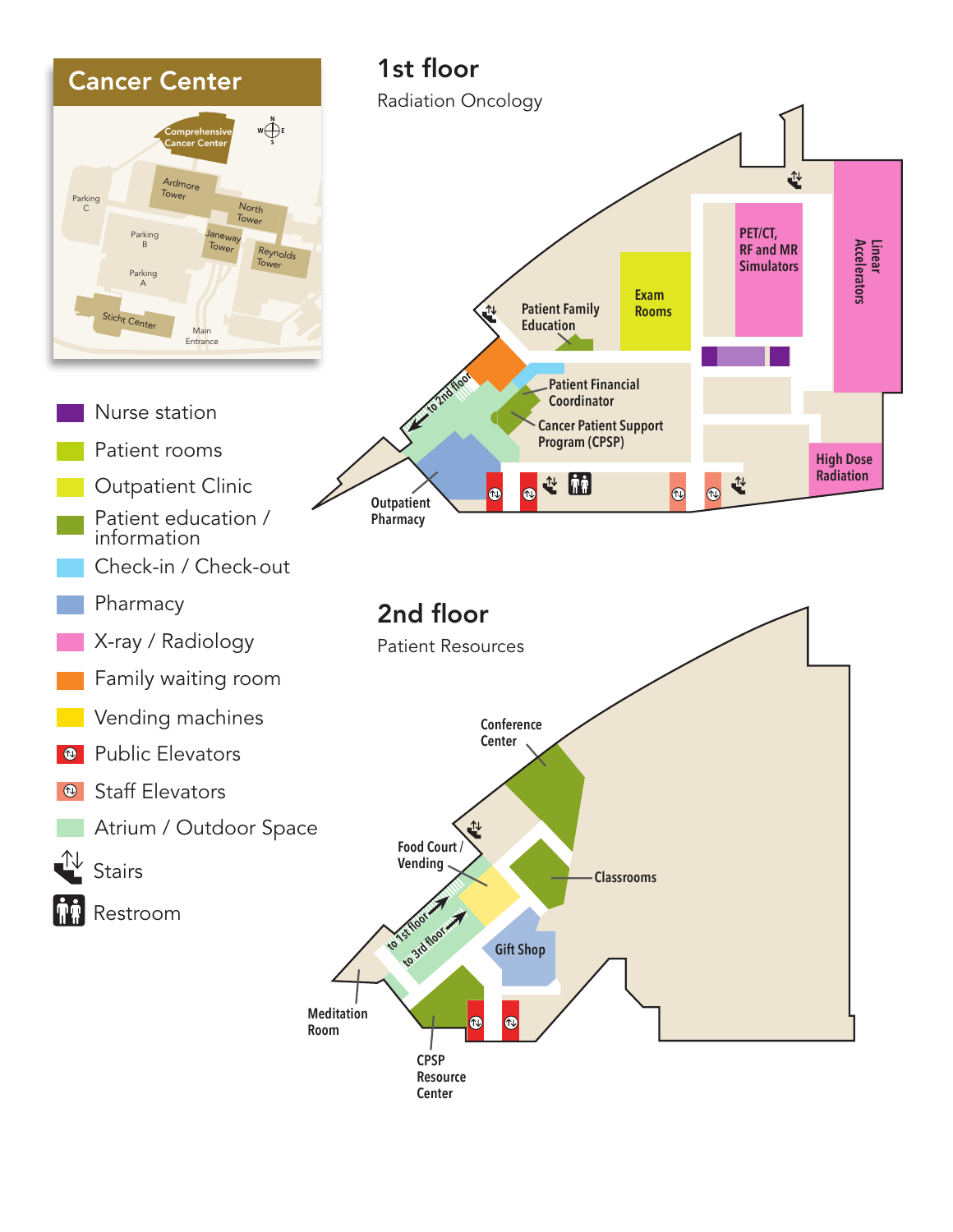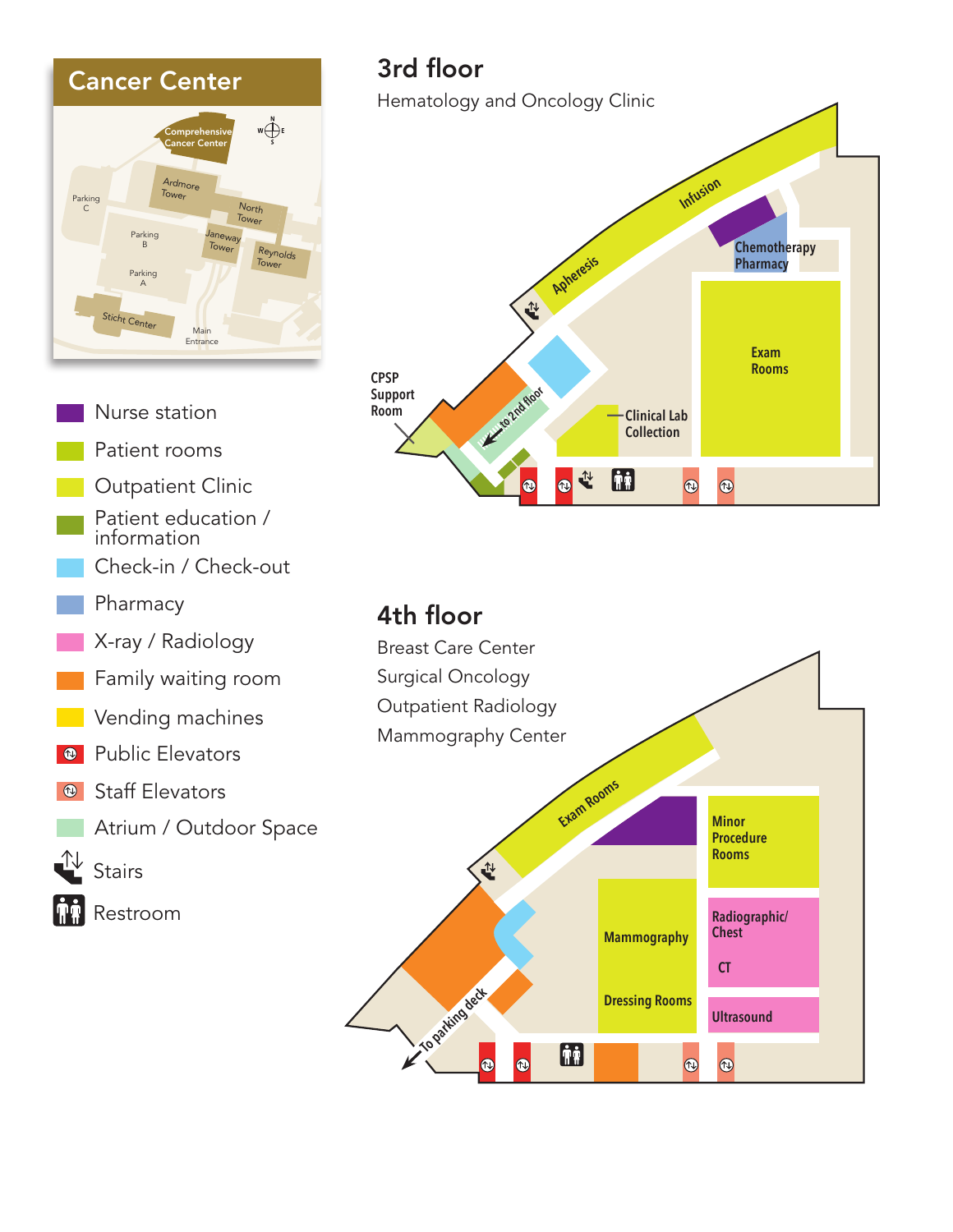

Nurse station Patient rooms Outpatient Clinic Patient education / information Check-in / Check-out Pharmacy X-ray / Radiology Family waiting room Vending machines **<sup>®</sup>** Public Elevators Staff Elevators  $\circledR$ Atrium / Outdoor Space ╩┵ **Stairs** Restroom

## 3rd floor

Hematology and Oncology Clinic



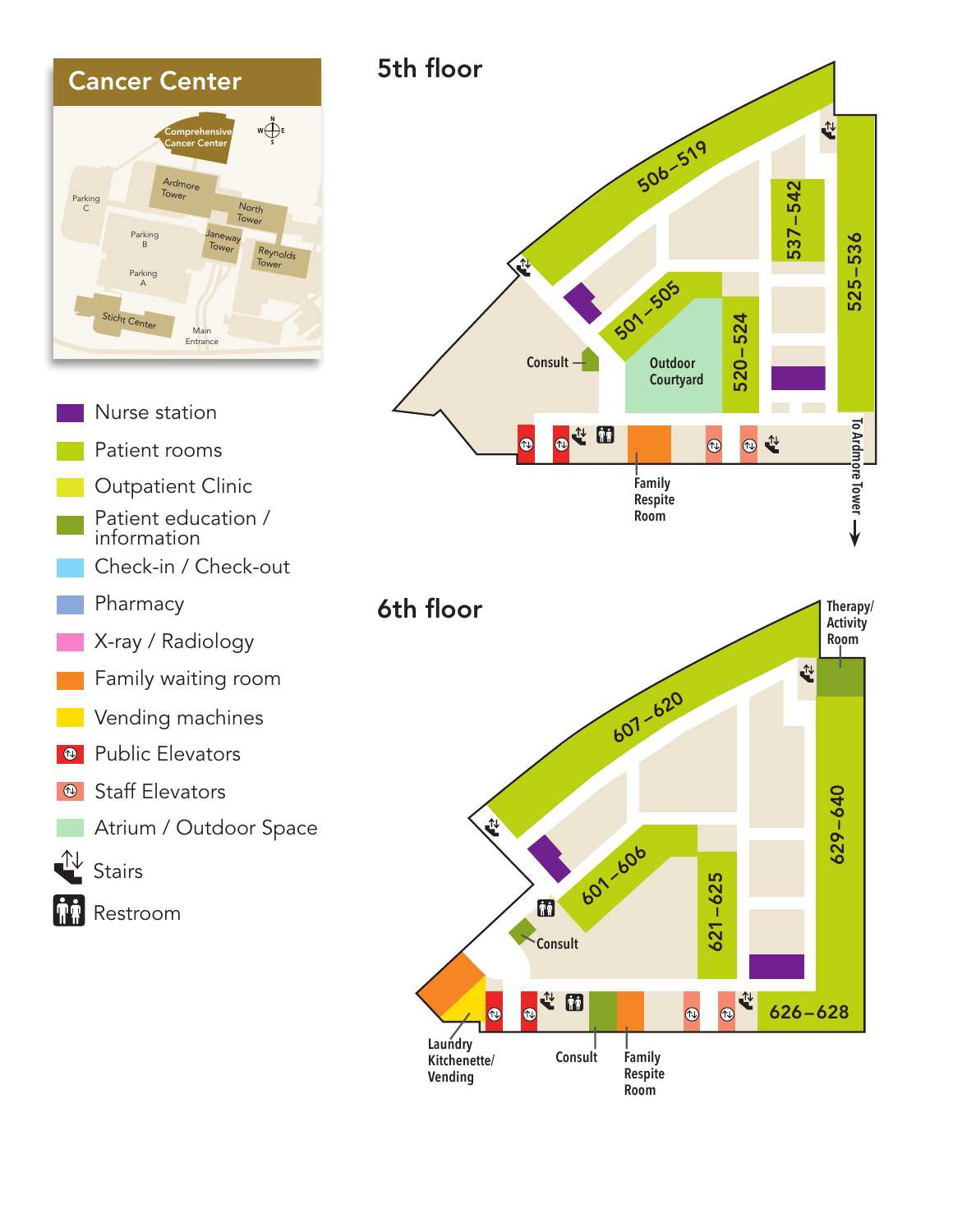

- Atrium / Outdoor Space
- $\mathbb{L}$ Stairs





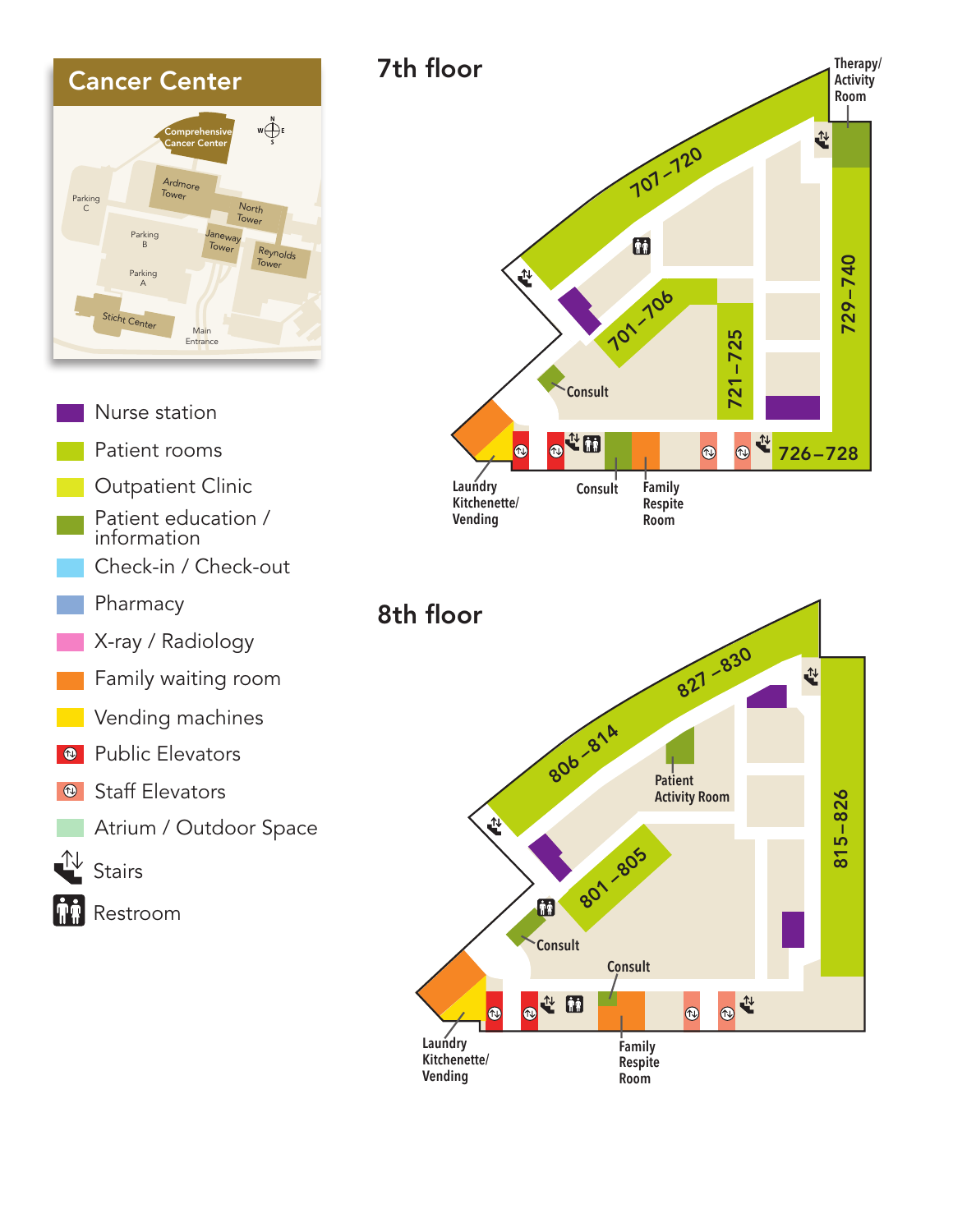

- Nurse station Patient rooms Outpatient Clinic
- Patient education / information
- Check-in / Check-out
- Pharmacy
- X-ray / Radiology
- Family waiting room
- Vending machines
- **Public Elevators**
- Staff Elevators  $\circledR$ 
	- Atrium / Outdoor Space
- ⊕ **Stairs** 
	- Restroom